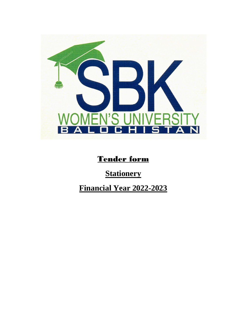

## Tender form

# **Stationery**

# **Financial Year 2022-2023**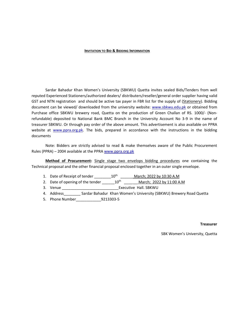#### **INVITATION TO BID & BIDDING INFORMATION**

Sardar Bahadur Khan Women's University (SBKWU) Quetta invites sealed Bids/Tenders from well reputed Experienced Stationers/authorized dealers/ distributers/reseller/general order supplier having valid GST and NTN registration and should be active tax payer in FBR list for the supply of (Stationery). Bidding document can be viewed/ downloaded from the university website: [www.sbkwu.edu.pk](http://www.sbkwu.edu.pk/) or obtained from Purchase office SBKWU brewery road, Quetta on the production of Green Challan of RS. 1000/- (Nonrefundable) deposited to National Bank BMC Branch in the University Account No 3-9 in the name of treasurer SBKWU. Or through pay order of the above amount. This advertisement is also available on PPRA website at [www.ppra.org.pk.](http://www.ppra.org.pk/) The bids, prepared in accordance with the instructions in the bidding documents

Note: Bidders are strictly advised to read & make themselves aware of the Public Procurement Rules (PPRA) – 2004 available at the PPRA [www.ppra.org.pk](http://www.ppra.org.pk/) 

**Method of Procurement:** Single stage two envelops bidding procedures one containing the Technical proposal and the other financial proposal enclosed together in an outer single envelope.

- 1. Date of Receipt of tender \_\_\_\_\_\_\_\_\_\_10<sup>th</sup> \_\_\_\_\_\_\_ March; 2022 by 10:30 A.M
- 2. Date of opening of the tender  $10^{th}$  March; 2022 by 11:00 A.M
- 3. Venue \_\_\_\_\_\_\_\_\_\_\_\_\_\_\_\_\_\_\_\_\_\_\_\_\_\_\_Executive Hall. SBKWU

4. Address \_ \_ \_ \_ Sardar Bahadur Khan Women's University (SBKWU) Brewery Road Quetta

5. Phone Number\_\_\_\_\_\_\_\_\_\_\_\_9213303-5

#### **Treasurer**

SBK Women's University, Quetta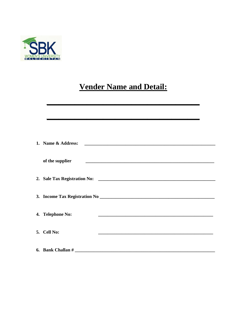

# **Vender Name and Detail:**

| 1. Name & Address:                                                              |
|---------------------------------------------------------------------------------|
| of the supplier                                                                 |
|                                                                                 |
|                                                                                 |
| 4. Telephone No:<br><u> 1989 - Johann Barn, mars and de Brasilian (b. 1989)</u> |
| 5. Cell No:                                                                     |
| 6. Bank Challan #                                                               |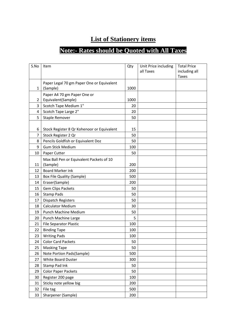## **List of Stationery items**

## **Note:- Rates should be Quoted with All Taxes**

| S.No           | Item                                                  | Qty  | Unit Price including | <b>Total Price</b>            |
|----------------|-------------------------------------------------------|------|----------------------|-------------------------------|
|                |                                                       |      | all Taxes            | including all<br><b>Taxes</b> |
|                |                                                       |      |                      |                               |
| 1              | Paper Legal 70 gm Paper One or Equivalent<br>(Sample) | 1000 |                      |                               |
|                |                                                       |      |                      |                               |
| 2              | Paper A4 70 gm Paper One or<br>Equivalent(Sample)     | 1000 |                      |                               |
| 3              | Scotch Tape Medium 1"                                 | 20   |                      |                               |
| 4              | Scotch Tape Large 2"                                  | 20   |                      |                               |
| 5              | Staple Remover                                        | 50   |                      |                               |
|                |                                                       |      |                      |                               |
| 6              | Stock Register 8 Qr Kohenoor or Equivalent            | 15   |                      |                               |
| $\overline{7}$ | Stock Register 2 Qr                                   | 50   |                      |                               |
| 8              | Pencils Goldfish or Equivalent Doz                    | 50   |                      |                               |
| 9              | <b>Gum Stick Medium</b>                               | 100  |                      |                               |
| 10             | Paper Cutter                                          | 50   |                      |                               |
|                | Max Ball Pen or Equivalent Packets of 10              |      |                      |                               |
| 11             | (Sample)                                              | 200  |                      |                               |
| 12             | <b>Board Marker ink</b>                               | 200  |                      |                               |
| 13             | <b>Box File Quality (Sample)</b>                      | 500  |                      |                               |
| 14             | Eraser(Sample)                                        | 200  |                      |                               |
| 15             | <b>Gem Clips Packets</b>                              | 50   |                      |                               |
| 16             | <b>Stamp Pads</b>                                     | 50   |                      |                               |
| 17             | Dispatch Registers                                    | 50   |                      |                               |
| 18             | <b>Calculator Medium</b>                              | 30   |                      |                               |
| 19             | <b>Punch Machine Medium</b>                           | 50   |                      |                               |
| 20             | Punch Machine Large                                   | 5    |                      |                               |
| 21             | <b>File Separator Plastic</b>                         | 100  |                      |                               |
| 22             | <b>Binding Tape</b>                                   | 100  |                      |                               |
| 23             | <b>Writing Pads</b>                                   | 100  |                      |                               |
| 24             | <b>Color Card Packets</b>                             | 50   |                      |                               |
| 25             | <b>Masking Tape</b>                                   | 50   |                      |                               |
| 26             | Note Portion Pads(Sample)                             | 500  |                      |                               |
| 27             | White Board Duster                                    | 300  |                      |                               |
| 28             | Stamp Pad Ink                                         | 50   |                      |                               |
| 29             | <b>Color Paper Packets</b>                            | 50   |                      |                               |
| 30             | Register 200 page                                     | 100  |                      |                               |
| 31             | Sticky note yellow big                                | 200  |                      |                               |
| 32             | File tag                                              | 500  |                      |                               |
| 33             | Sharpener (Sample)                                    | 200  |                      |                               |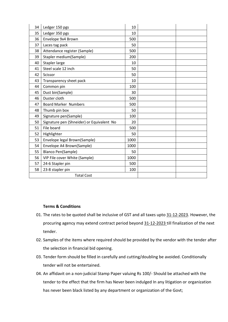| 34                | Ledger 150 pgs                            | 10   |  |
|-------------------|-------------------------------------------|------|--|
| 35                | Ledger 350 pgs                            | 10   |  |
| 36                | Envelope 9x4 Brown                        | 500  |  |
| 37                | Laces tag pack                            | 50   |  |
| 38                | Attendance register (Sample)              | 500  |  |
| 39                | Stapler medium(Sample)                    | 200  |  |
| 40                | Stapler large                             | 10   |  |
| 41                | Steel scale 12 inch                       | 50   |  |
| 42                | Scissor                                   | 50   |  |
| 43                | Transparency sheet pack                   | 10   |  |
| 44                | Common pin                                | 100  |  |
| 45                | Dust bin(Sample)                          | 30   |  |
| 46                | Duster cloth                              | 500  |  |
| 47                | <b>Board Marker Numbers</b>               | 500  |  |
| 48                | Thumb pin box                             | 50   |  |
| 49                | Signature pen(Sample)                     | 100  |  |
| 50                | Signature pen (Shneider) or Equivalent No | 20   |  |
| 51                | File board                                | 500  |  |
| 52                | Highlighter                               | 50   |  |
| 53                | Envelope legal Brown(Sample)              | 1000 |  |
| 54                | Envelope A4 Brown(Sample)                 | 1000 |  |
| 55                | Blanco Pen(Sample)                        | 50   |  |
| 56                | VIP File cover White (Sample)             | 1000 |  |
| 57                | 24-6 Stapler pin                          | 500  |  |
| 58                | 23-8 stapler pin                          | 100  |  |
| <b>Total Cost</b> |                                           |      |  |

### **Terms & Conditions**

- 01. The rates to be quoted shall be inclusive of GST and all taxes upto 31-12-2023. However, the procuring agency may extend contract period beyond 31-12-2023 till finalization of the next tender.
- 02. Samples of the items where required should be provided by the vendor with the tender after the selection in financial bid opening.
- 03. Tender form should be filled in carefully and cutting/doubling be avoided. Conditionally tender will not be entertained.
- 04. An affidavit on a non-judicial Stamp Paper valuing Rs 100/- Should be attached with the tender to the effect that the firm has Never been indulged In any litigation or organization has never been black listed by any department or organization of the Govt;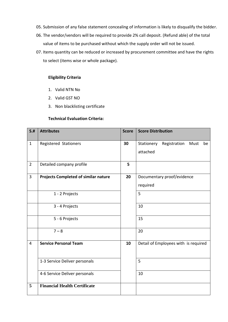- 05. Submission of any false statement concealing of information is likely to disqualify the bidder.
- 06. The vendor/vendors will be required to provide 2% call deposit. (Refund able) of the total value of items to be purchased without which the supply order will not be issued.
- 07. Items quantity can be reduced or increased by procurement committee and have the rights to select (items wise or whole package).

## **Eligibility Criteria**

- 1. Valid NTN No
- 2. Valid GST NO
- 3. Non blacklisting certificate

### **Technical Evaluation Criteria:**

| S.H            | <b>Attributes</b>                           | <b>Score</b> | <b>Score Distribution</b>                |  |
|----------------|---------------------------------------------|--------------|------------------------------------------|--|
| $\mathbf{1}$   | Registered Stationers                       | 30           | Stationery<br>Registration<br>Must<br>be |  |
|                |                                             |              | attached                                 |  |
| $\overline{2}$ | Detailed company profile                    | 5            |                                          |  |
| 3              | <b>Projects Completed of similar nature</b> | 20           | Documentary proof/evidence               |  |
|                |                                             |              | required                                 |  |
|                | 1 - 2 Projects                              |              | 5                                        |  |
|                | 3 - 4 Projects                              |              | 10                                       |  |
|                | 5 - 6 Projects                              |              | 15                                       |  |
|                | $7 - 8$                                     |              | 20                                       |  |
| $\overline{4}$ | <b>Service Personal Team</b>                | 10           | Detail of Employees with is required     |  |
|                | 1-3 Service Deliver personals               |              | 5                                        |  |
|                | 4-6 Service Deliver personals               |              | 10                                       |  |
| 5              | <b>Financial Health Certificate</b>         |              |                                          |  |